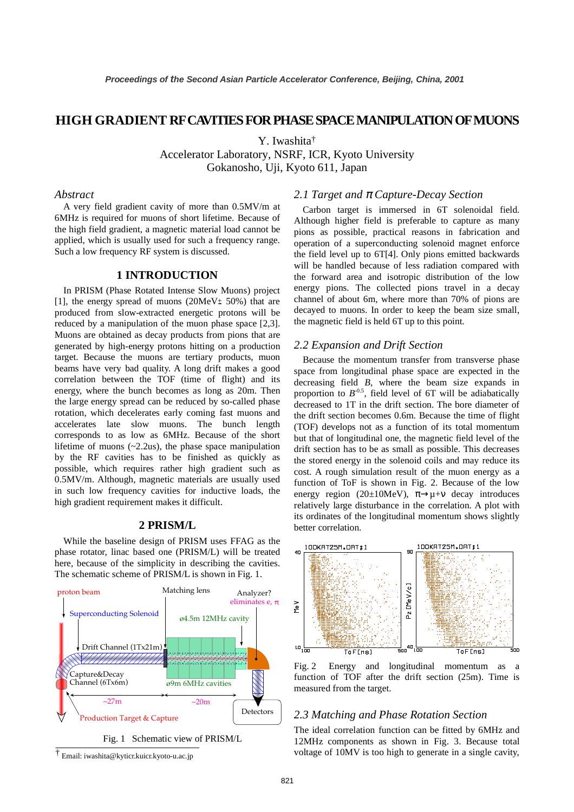# **HIGH GRADIENT RF CAVITIES FOR PHASE SPACE MANIPULATION OF MUONS**

Y. Iwashita†

Accelerator Laboratory, NSRF, ICR, Kyoto University

Gokanosho, Uji, Kyoto 611, Japan

#### *Abstract*

A very field gradient cavity of more than 0.5MV/m at 6MHz is required for muons of short lifetime. Because of the high field gradient, a magnetic material load cannot be applied, which is usually used for such a frequency range. Such a low frequency RF system is discussed.

### **1 INTRODUCTION**

In PRISM (Phase Rotated Intense Slow Muons) project [1], the energy spread of muons (20MeV $\pm$  50%) that are produced from slow-extracted energetic protons will be reduced by a manipulation of the muon phase space [2,3]. Muons are obtained as decay products from pions that are generated by high-energy protons hitting on a production target. Because the muons are tertiary products, muon beams have very bad quality. A long drift makes a good correlation between the TOF (time of flight) and its energy, where the bunch becomes as long as 20m. Then the large energy spread can be reduced by so-called phase rotation, which decelerates early coming fast muons and accelerates late slow muons. The bunch length corresponds to as low as 6MHz. Because of the short lifetime of muons (~2.2us), the phase space manipulation by the RF cavities has to be finished as quickly as possible, which requires rather high gradient such as 0.5MV/m. Although, magnetic materials are usually used in such low frequency cavities for inductive loads, the high gradient requirement makes it difficult.

## **2 PRISM/L**

While the baseline design of PRISM uses FFAG as the phase rotator, linac based one (PRISM/L) will be treated here, because of the simplicity in describing the cavities. The schematic scheme of PRISM/L is shown in Fig. 1.





#### *2.1 Target and* π *Capture-Decay Section*

Carbon target is immersed in 6T solenoidal field. Although higher field is preferable to capture as many pions as possible, practical reasons in fabrication and operation of a superconducting solenoid magnet enforce the field level up to 6T[4]. Only pions emitted backwards will be handled because of less radiation compared with the forward area and isotropic distribution of the low energy pions. The collected pions travel in a decay channel of about 6m, where more than 70% of pions are decayed to muons. In order to keep the beam size small, the magnetic field is held 6T up to this point.

## *2.2 Expansion and Drift Section*

Because the momentum transfer from transverse phase space from longitudinal phase space are expected in the decreasing field *B*, where the beam size expands in proportion to  $B^{-0.5}$ , field level of 6T will be adiabatically decreased to 1T in the drift section. The bore diameter of the drift section becomes 0.6m. Because the time of flight (TOF) develops not as a function of its total momentum but that of longitudinal one, the magnetic field level of the drift section has to be as small as possible. This decreases the stored energy in the solenoid coils and may reduce its cost. A rough simulation result of the muon energy as a function of ToF is shown in Fig. 2. Because of the low energy region (20±10MeV),  $\pi \rightarrow \mu + \nu$  decay introduces relatively large disturbance in the correlation. A plot with its ordinates of the longitudinal momentum shows slightly better correlation.



Fig. 2 Energy and longitudinal momentum as a function of TOF after the drift section (25m). Time is measured from the target.

#### *2.3 Matching and Phase Rotation Section*

The ideal correlation function can be fitted by 6MHz and 12MHz components as shown in Fig. 3. Because total † voltage of 10MV is too high to generate in a single cavity, Email: iwashita@kyticr.kuicr.kyoto-u.ac.jp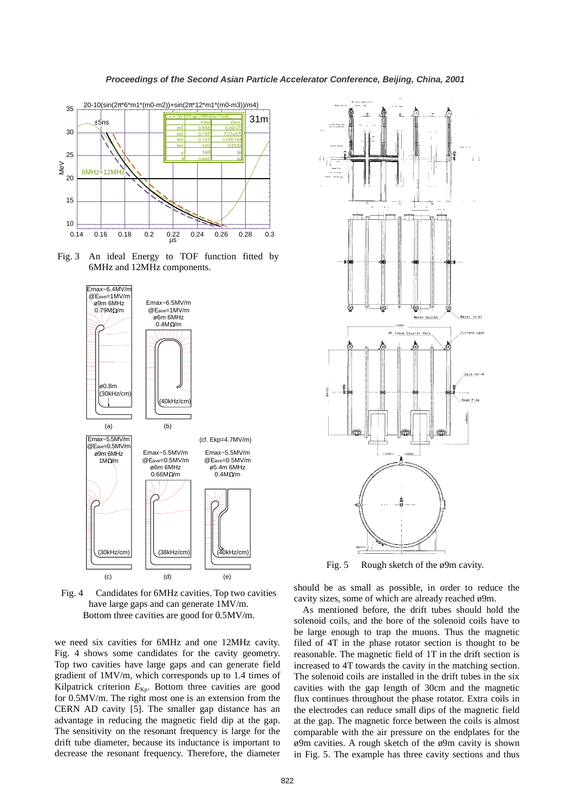

Fig. 3 An ideal Energy to TOF function fitted by 6MHz and 12MHz components.



Fig. 4 Candidates for 6MHz cavities. Top two cavities have large gaps and can generate 1MV/m. Bottom three cavities are good for 0.5MV/m.

we need six cavities for 6MHz and one 12MHz cavity. Fig. 4 shows some candidates for the cavity geometry. Top two cavities have large gaps and can generate field gradient of 1MV/m, which corresponds up to 1.4 times of Kilpatrick criterion  $E_{\text{Kp}}$ . Bottom three cavities are good for 0.5MV/m. The right most one is an extension from the CERN AD cavity [5]. The smaller gap distance has an advantage in reducing the magnetic field dip at the gap. The sensitivity on the resonant frequency is large for the drift tube diameter, because its inductance is important to decrease the resonant frequency. Therefore, the diameter



Fig. 5 Rough sketch of the ø9m cavity.

should be as small as possible, in order to reduce the cavity sizes, some of which are already reached ø9m.

As mentioned before, the drift tubes should hold the solenoid coils, and the bore of the solenoid coils have to be large enough to trap the muons. Thus the magnetic filed of 4T in the phase rotator section is thought to be reasonable. The magnetic field of 1T in the drift section is increased to 4T towards the cavity in the matching section. The solenoid coils are installed in the drift tubes in the six cavities with the gap length of 30cm and the magnetic flux continues throughout the phase rotator. Extra coils in the electrodes can reduce small dips of the magnetic field at the gap. The magnetic force between the coils is almost comparable with the air pressure on the endplates for the ø9m cavities. A rough sketch of the ø9m cavity is shown in Fig. 5. The example has three cavity sections and thus